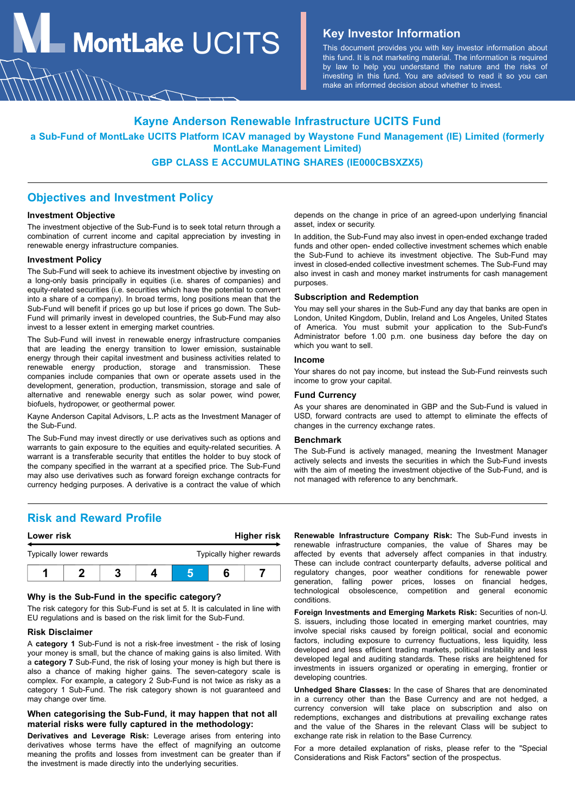**MontLake**  $UCITS$  **Key Investor Information** 

This document provides you with key investor information about this fund. It is not marketing material. The information is required by law to help you understand the nature and the risks of investing in this fund. You are advised to read it so you can make an informed decision about whether to invest.

### **Kayne Anderson Renewable Infrastructure UCITS Fund**

**a Sub-Fund of MontLake UCITS Platform ICAV managed by Waystone Fund Management (IE) Limited (formerly MontLake Management Limited)**

### **GBP CLASS E ACCUMULATING SHARES (IE000CBSXZX5)**

### **Objectives and Investment Policy**

#### **Investment Objective**

The investment objective of the Sub-Fund is to seek total return through a combination of current income and capital appreciation by investing in renewable energy infrastructure companies.

#### **Investment Policy**

The Sub-Fund will seek to achieve its investment objective by investing on a long-only basis principally in equities (i.e. shares of companies) and equity-related securities (i.e. securities which have the potential to convert into a share of a company). In broad terms, long positions mean that the Sub-Fund will benefit if prices go up but lose if prices go down. The Sub-Fund will primarily invest in developed countries, the Sub-Fund may also invest to a lesser extent in emerging market countries.

The Sub-Fund will invest in renewable energy infrastructure companies that are leading the energy transition to lower emission, sustainable energy through their capital investment and business activities related to renewable energy production, storage and transmission. These companies include companies that own or operate assets used in the development, generation, production, transmission, storage and sale of alternative and renewable energy such as solar power, wind power, biofuels, hydropower, or geothermal power.

Kayne Anderson Capital Advisors, L.P. acts as the Investment Manager of the Sub-Fund.

The Sub-Fund may invest directly or use derivatives such as options and warrants to gain exposure to the equities and equity-related securities. A warrant is a transferable security that entitles the holder to buy stock of the company specified in the warrant at a specified price. The Sub-Fund may also use derivatives such as forward foreign exchange contracts for currency hedging purposes. A derivative is a contract the value of which

depends on the change in price of an agreed-upon underlying financial asset, index or security.

In addition, the Sub-Fund may also invest in open-ended exchange traded funds and other open- ended collective investment schemes which enable the Sub-Fund to achieve its investment objective. The Sub-Fund may invest in closed-ended collective investment schemes. The Sub-Fund may also invest in cash and money market instruments for cash management purposes.

#### **Subscription and Redemption**

You may sell your shares in the Sub-Fund any day that banks are open in London, United Kingdom, Dublin, Ireland and Los Angeles, United States of America. You must submit your application to the Sub-Fund's Administrator before 1.00 p.m. one business day before the day on which you want to sell.

#### **Income**

Your shares do not pay income, but instead the Sub-Fund reinvests such income to grow your capital.

#### **Fund Currency**

As your shares are denominated in GBP and the Sub-Fund is valued in USD, forward contracts are used to attempt to eliminate the effects of changes in the currency exchange rates.

#### **Benchmark**

The Sub-Fund is actively managed, meaning the Investment Manager actively selects and invests the securities in which the Sub-Fund invests with the aim of meeting the investment objective of the Sub-Fund, and is not managed with reference to any benchmark.

### **Risk and Reward Profile**



#### **Why is the Sub-Fund in the specific category?**

The risk category for this Sub-Fund is set at 5. It is calculated in line with EU regulations and is based on the risk limit for the Sub-Fund.

#### **Risk Disclaimer**

A **category 1** Sub-Fund is not a risk-free investment - the risk of losing your money is small, but the chance of making gains is also limited. With a **category 7** Sub-Fund, the risk of losing your money is high but there is also a chance of making higher gains. The seven-category scale is complex. For example, a category 2 Sub-Fund is not twice as risky as a category 1 Sub-Fund. The risk category shown is not guaranteed and may change over time.

### **When categorising the Sub-Fund, it may happen that not all material risks were fully captured in the methodology:**

**Derivatives and Leverage Risk:** Leverage arises from entering into derivatives whose terms have the effect of magnifying an outcome meaning the profits and losses from investment can be greater than if the investment is made directly into the underlying securities.

**Renewable Infrastructure Company Risk:** The Sub-Fund invests in renewable infrastructure companies, the value of Shares may be affected by events that adversely affect companies in that industry. These can include contract counterparty defaults, adverse political and regulatory changes, poor weather conditions for renewable power generation, falling power prices, losses on financial hedges, technological obsolescence, competition and general economic conditions.

**Foreign Investments and Emerging Markets Risk:** Securities of non-U. S. issuers, including those located in emerging market countries, may involve special risks caused by foreign political, social and economic factors, including exposure to currency fluctuations, less liquidity, less developed and less efficient trading markets, political instability and less developed legal and auditing standards. These risks are heightened for investments in issuers organized or operating in emerging, frontier or developing countries.

**Unhedged Share Classes:** In the case of Shares that are denominated in a currency other than the Base Currency and are not hedged, a currency conversion will take place on subscription and also on redemptions, exchanges and distributions at prevailing exchange rates and the value of the Shares in the relevant Class will be subject to exchange rate risk in relation to the Base Currency.

For a more detailed explanation of risks, please refer to the "Special Considerations and Risk Factors" section of the prospectus.